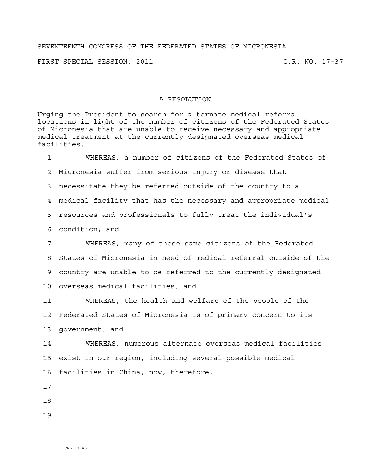## SEVENTEENTH CONGRESS OF THE FEDERATED STATES OF MICRONESIA

FIRST SPECIAL SESSION, 2011 C.R. NO. 17-37

## A RESOLUTION

Urging the President to search for alternate medical referral locations in light of the number of citizens of the Federated States of Micronesia that are unable to receive necessary and appropriate medical treatment at the currently designated overseas medical facilities.

1 WHEREAS, a number of citizens of the Federated States of 2 Micronesia suffer from serious injury or disease that 3 necessitate they be referred outside of the country to a 4 medical facility that has the necessary and appropriate medical 5 resources and professionals to fully treat the individual's 6 condition; and

7 WHEREAS, many of these same citizens of the Federated 8 States of Micronesia in need of medical referral outside of the 9 country are unable to be referred to the currently designated 10 overseas medical facilities; and

11 WHEREAS, the health and welfare of the people of the 12 Federated States of Micronesia is of primary concern to its 13 government; and

14 WHEREAS, numerous alternate overseas medical facilities 15 exist in our region, including several possible medical 16 facilities in China; now, therefore,

17

18

19